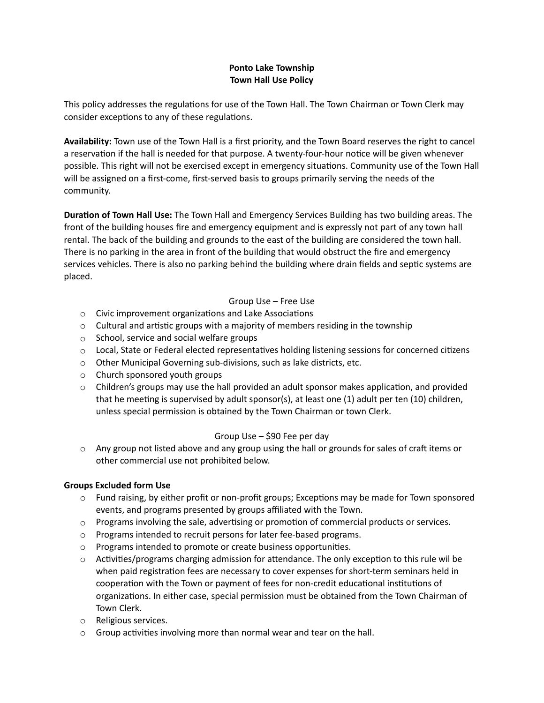# **Ponto Lake Township Town Hall Use Policy**

This policy addresses the regulations for use of the Town Hall. The Town Chairman or Town Clerk may consider exceptions to any of these regulations.

**Availability:** Town use of the Town Hall is a first priority, and the Town Board reserves the right to cancel a reservation if the hall is needed for that purpose. A twenty-four-hour notice will be given whenever possible. This right will not be exercised except in emergency situations. Community use of the Town Hall will be assigned on a first-come, first-served basis to groups primarily serving the needs of the community.

**Duration of Town Hall Use:** The Town Hall and Emergency Services Building has two building areas. The front of the building houses fire and emergency equipment and is expressly not part of any town hall rental. The back of the building and grounds to the east of the building are considered the town hall. There is no parking in the area in front of the building that would obstruct the fire and emergency services vehicles. There is also no parking behind the building where drain fields and septic systems are placed.

## Group Use – Free Use

- o Civic improvement organizations and Lake Associations
- $\circ$  Cultural and artistic groups with a majority of members residing in the township
- o School, service and social welfare groups
- o Local, State or Federal elected representatives holding listening sessions for concerned citizens
- $\circ$  Other Municipal Governing sub-divisions, such as lake districts, etc.
- o Church sponsored youth groups
- $\circ$  Children's groups may use the hall provided an adult sponsor makes application, and provided that he meeting is supervised by adult sponsor(s), at least one (1) adult per ten (10) children, unless special permission is obtained by the Town Chairman or town Clerk.

## Group Use – \$90 Fee per day

 $\circ$  Any group not listed above and any group using the hall or grounds for sales of craft items or other commercial use not prohibited below.

## **Groups Excluded form Use**

- $\circ$  Fund raising, by either profit or non-profit groups; Exceptions may be made for Town sponsored events, and programs presented by groups affiliated with the Town.
- $\circ$  Programs involving the sale, advertising or promotion of commercial products or services.
- o Programs intended to recruit persons for later fee-based programs.
- o Programs intended to promote or create business opportunities.
- $\circ$  Activities/programs charging admission for attendance. The only exception to this rule wil be when paid registration fees are necessary to cover expenses for short-term seminars held in cooperation with the Town or payment of fees for non-credit educational institutions of organizations. In either case, special permission must be obtained from the Town Chairman of Town Clerk.
- o Religious services.
- $\circ$  Group activities involving more than normal wear and tear on the hall.